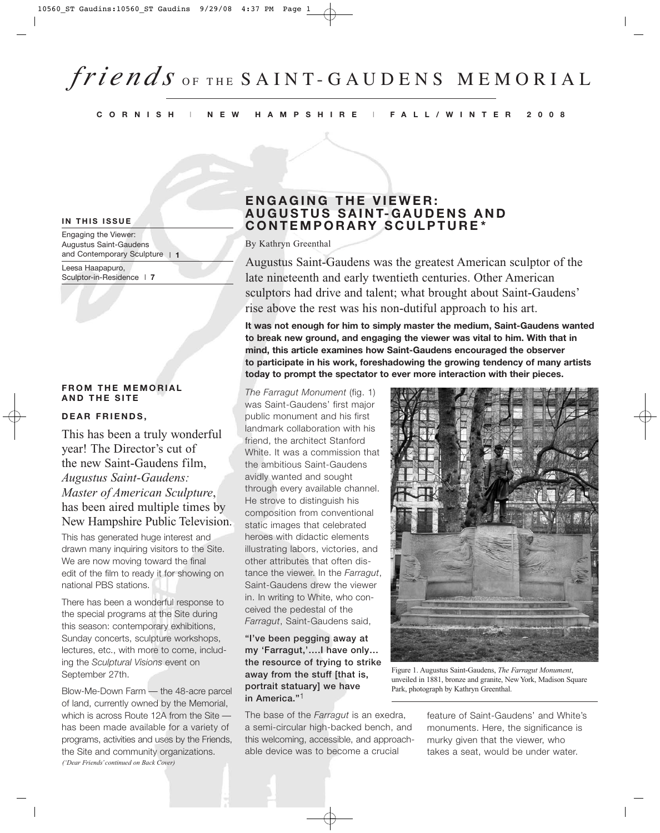#### **CORNISH** I **NEW HAMPSHIRE** I **FALL/WINTER 2008**

#### **IN THIS ISSUE**

Engaging the Viewer: Augustus Saint-Gaudens and Contemporary Sculpture I **1**

Leesa Haapapuro, Sculptor-in-Residence I **7**

#### **FROM THE MEMORIAL AND THE SITE**

#### **DEAR FRIENDS,**

This has been a truly wonderful year! The Director's cut of the new Saint-Gaudens film, *Augustus Saint-Gaudens: Master of American Sculpture*, has been aired multiple times by New Hampshire Public Television.

This has generated huge interest and drawn many inquiring visitors to the Site. We are now moving toward the final edit of the film to ready it for showing on national PBS stations.

There has been a wonderful response to the special programs at the Site during this season: contemporary exhibitions, Sunday concerts, sculpture workshops, lectures, etc., with more to come, including the *Sculptural Visions* event on September 27th.

Blow-Me-Down Farm — the 48-acre parcel of land, currently owned by the Memorial, which is across Route 12A from the Site has been made available for a variety of programs, activities and uses by the Friends, the Site and community organizations. *('Dear Friends'continued on Back Cover)*

# **ENGAGING THE VIEWER: AUGUSTUS SAINT-GAUDENS AND CONTEMPORARY SCULPTURE\***

By Kathryn Greenthal

Augustus Saint-Gaudens was the greatest American sculptor of the late nineteenth and early twentieth centuries. Other American sculptors had drive and talent; what brought about Saint-Gaudens' rise above the rest was his non-dutiful approach to his art.

**It was not enough for him to simply master the medium, Saint-Gaudens wanted to break new ground, and engaging the viewer was vital to him. With that in mind, this article examines how Saint-Gaudens encouraged the observer to participate in his work, foreshadowing the growing tendency of many artists today to prompt the spectator to ever more interaction with their pieces.**

*The Farragut Monument* (fig. 1) was Saint-Gaudens' first major public monument and his first landmark collaboration with his friend, the architect Stanford White. It was a commission that the ambitious Saint-Gaudens avidly wanted and sought through every available channel. He strove to distinguish his composition from conventional static images that celebrated heroes with didactic elements illustrating labors, victories, and other attributes that often distance the viewer. In the *Farragut*, Saint-Gaudens drew the viewer in. In writing to White, who conceived the pedestal of the *Farragut*, Saint-Gaudens said,

#### **"I've been pegging away at my 'Farragut,'….I have only… the resource of trying to strike away from the stuff [that is, portrait statuary] we have in America."**1

The base of the *Farragut* is an exedra, a semi-circular high-backed bench, and this welcoming, accessible, and approachable device was to become a crucial



Figure 1. Augustus Saint-Gaudens, *The Farragut Monument*, unveiled in 1881, bronze and granite, New York, Madison Square Park, photograph by Kathryn Greenthal.

feature of Saint-Gaudens' and White's monuments. Here, the significance is murky given that the viewer, who takes a seat, would be under water.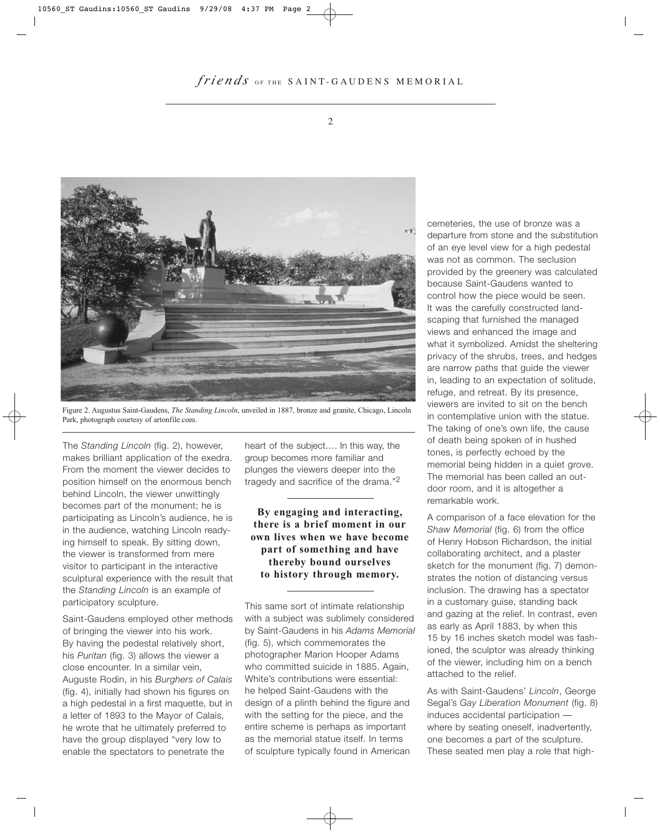

Figure 2. Augustus Saint-Gaudens, *The Standing Lincoln*, unveiled in 1887, bronze and granite, Chicago, Lincoln Park, photograph courtesy of artonfile.com.

The *Standing Lincoln* (fig. 2), however, makes brilliant application of the exedra. From the moment the viewer decides to position himself on the enormous bench behind Lincoln, the viewer unwittingly becomes part of the monument; he is participating as Lincoln's audience, he is in the audience, watching Lincoln readying himself to speak. By sitting down, the viewer is transformed from mere visitor to participant in the interactive sculptural experience with the result that the *Standing Lincoln* is an example of participatory sculpture.

Saint-Gaudens employed other methods of bringing the viewer into his work. By having the pedestal relatively short, his *Puritan* (fig. 3) allows the viewer a close encounter. In a similar vein, Auguste Rodin, in his *Burghers of Calais* (fig. 4), initially had shown his figures on a high pedestal in a first maquette, but in a letter of 1893 to the Mayor of Calais, he wrote that he ultimately preferred to have the group displayed "very low to enable the spectators to penetrate the

heart of the subject…. In this way, the group becomes more familiar and plunges the viewers deeper into the tragedy and sacrifice of the drama."2

### **By engaging and interacting, there is a brief moment in our own lives when we have become part of something and have thereby bound ourselves to history through memory.**

This same sort of intimate relationship with a subject was sublimely considered by Saint-Gaudens in his *Adams Memorial* (fig. 5), which commemorates the photographer Marion Hooper Adams who committed suicide in 1885. Again, White's contributions were essential: he helped Saint-Gaudens with the design of a plinth behind the figure and with the setting for the piece, and the entire scheme is perhaps as important as the memorial statue itself. In terms of sculpture typically found in American

cemeteries, the use of bronze was a departure from stone and the substitution of an eye level view for a high pedestal was not as common. The seclusion provided by the greenery was calculated because Saint-Gaudens wanted to control how the piece would be seen. It was the carefully constructed landscaping that furnished the managed views and enhanced the image and what it symbolized. Amidst the sheltering privacy of the shrubs, trees, and hedges are narrow paths that guide the viewer in, leading to an expectation of solitude, refuge, and retreat. By its presence, viewers are invited to sit on the bench in contemplative union with the statue. The taking of one's own life, the cause of death being spoken of in hushed tones, is perfectly echoed by the memorial being hidden in a quiet grove. The memorial has been called an outdoor room, and it is altogether a remarkable work.

A comparison of a face elevation for the *Shaw Memorial* (fig. 6) from the office of Henry Hobson Richardson, the initial collaborating architect, and a plaster sketch for the monument (fig. 7) demonstrates the notion of distancing versus inclusion. The drawing has a spectator in a customary guise, standing back and gazing at the relief. In contrast, even as early as April 1883, by when this 15 by 16 inches sketch model was fashioned, the sculptor was already thinking of the viewer, including him on a bench attached to the relief.

As with Saint-Gaudens' *Lincoln*, George Segal's *Gay Liberation Monument* (fig. 8) induces accidental participation where by seating oneself, inadvertently, one becomes a part of the sculpture. These seated men play a role that high-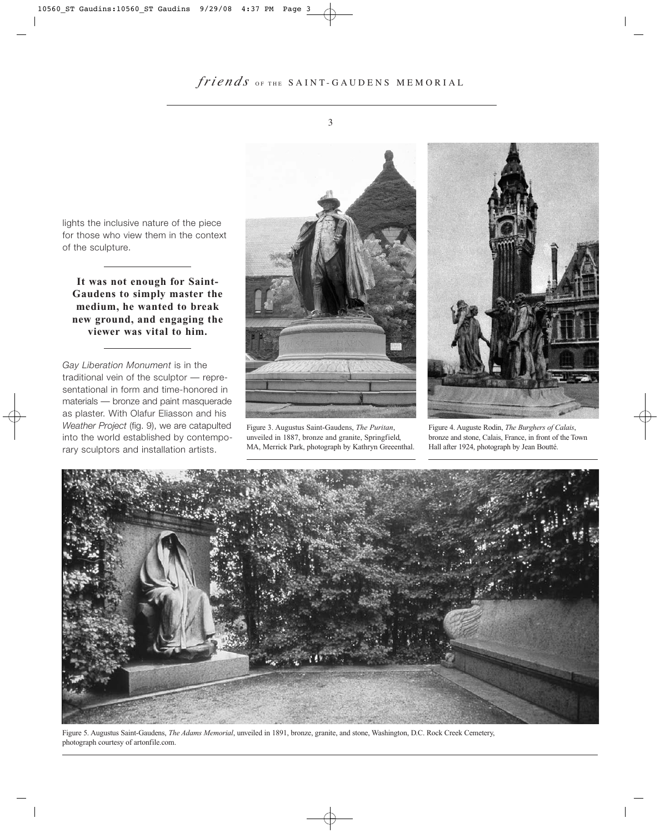lights the inclusive nature of the piece for those who view them in the context of the sculpture.

**It was not enough for Saint-Gaudens to simply master the medium, he wanted to break new ground, and engaging the viewer was vital to him.**

*Gay Liberation Monument* is in the traditional vein of the sculptor — representational in form and time-honored in materials — bronze and paint masquerade as plaster. With Olafur Eliasson and his *Weather Project* (fig. 9), we are catapulted into the world established by contemporary sculptors and installation artists.



Figure 3. Augustus Saint-Gaudens, *The Puritan*, unveiled in 1887, bronze and granite, Springfield, MA, Merrick Park, photograph by Kathryn Greeenthal.



Figure 4. Auguste Rodin, *The Burghers of Calais*, bronze and stone, Calais, France, in front of the Town Hall after 1924, photograph by Jean Boutté.



Figure 5. Augustus Saint-Gaudens, *The Adams Memorial*, unveiled in 1891, bronze, granite, and stone, Washington, D.C. Rock Creek Cemetery, photograph courtesy of artonfile.com.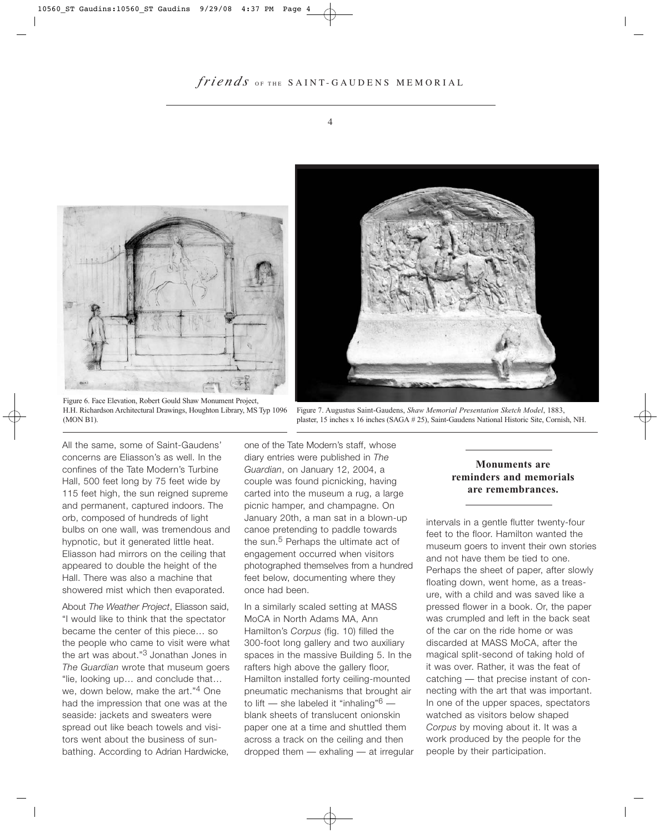



Figure 7. Augustus Saint-Gaudens, *Shaw Memorial Presentation Sketch Model*, 1883, plaster, 15 inches x 16 inches (SAGA # 25), Saint-Gaudens National Historic Site, Cornish, NH.

Figure 6. Face Elevation, Robert Gould Shaw Monument Project, H.H. Richardson Architectural Drawings, Houghton Library, MS Typ 1096 (MON B1).

All the same, some of Saint-Gaudens' concerns are Eliasson's as well. In the confines of the Tate Modern's Turbine Hall, 500 feet long by 75 feet wide by 115 feet high, the sun reigned supreme and permanent, captured indoors. The orb, composed of hundreds of light bulbs on one wall, was tremendous and hypnotic, but it generated little heat. Eliasson had mirrors on the ceiling that appeared to double the height of the Hall. There was also a machine that showered mist which then evaporated.

About *The Weather Project*, Eliasson said, "I would like to think that the spectator became the center of this piece… so the people who came to visit were what the art was about."<sup>3</sup> Jonathan Jones in *The Guardian* wrote that museum goers "lie, looking up… and conclude that… we, down below, make the art."4 One had the impression that one was at the seaside: jackets and sweaters were spread out like beach towels and visitors went about the business of sunbathing. According to Adrian Hardwicke,

one of the Tate Modern's staff, whose diary entries were published in *The Guardian*, on January 12, 2004, a couple was found picnicking, having carted into the museum a rug, a large picnic hamper, and champagne. On January 20th, a man sat in a blown-up canoe pretending to paddle towards the sun.<sup>5</sup> Perhaps the ultimate act of engagement occurred when visitors photographed themselves from a hundred feet below, documenting where they once had been.

In a similarly scaled setting at MASS MoCA in North Adams MA, Ann Hamilton's *Corpus* (fig. 10) filled the 300-foot long gallery and two auxiliary spaces in the massive Building 5. In the rafters high above the gallery floor, Hamilton installed forty ceiling-mounted pneumatic mechanisms that brought air to lift — she labeled it "inhaling" $6$ blank sheets of translucent onionskin paper one at a time and shuttled them across a track on the ceiling and then dropped them — exhaling — at irregular

#### **Monuments are reminders and memorials are remembrances.**

intervals in a gentle flutter twenty-four feet to the floor. Hamilton wanted the museum goers to invent their own stories and not have them be tied to one. Perhaps the sheet of paper, after slowly floating down, went home, as a treasure, with a child and was saved like a pressed flower in a book. Or, the paper was crumpled and left in the back seat of the car on the ride home or was discarded at MASS MoCA, after the magical split-second of taking hold of it was over. Rather, it was the feat of catching — that precise instant of connecting with the art that was important. In one of the upper spaces, spectators watched as visitors below shaped *Corpus* by moving about it. It was a work produced by the people for the people by their participation.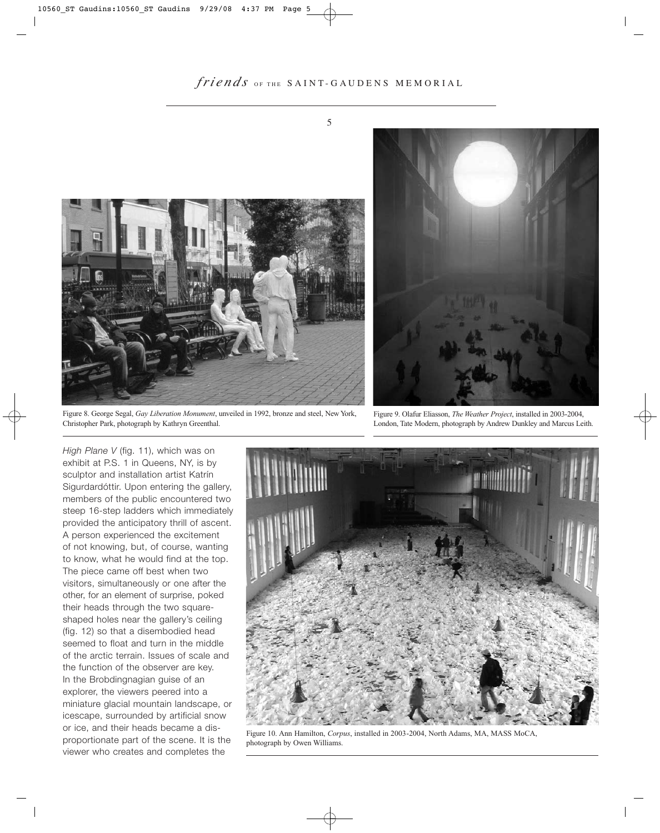

Figure 8. George Segal, *Gay Liberation Monument*, unveiled in 1992, bronze and steel, New York, Christopher Park, photograph by Kathryn Greenthal.



Figure 9. Olafur Eliasson, *The Weather Project*, installed in 2003-2004, London, Tate Modern, photograph by Andrew Dunkley and Marcus Leith.

*High Plane V* (fig. 11), which was on exhibit at P.S. 1 in Queens, NY, is by sculptor and installation artist Katrín Sigurdardóttir. Upon entering the gallery, members of the public encountered two steep 16-step ladders which immediately provided the anticipatory thrill of ascent. A person experienced the excitement of not knowing, but, of course, wanting to know, what he would find at the top. The piece came off best when two visitors, simultaneously or one after the other, for an element of surprise, poked their heads through the two squareshaped holes near the gallery's ceiling (fig. 12) so that a disembodied head seemed to float and turn in the middle of the arctic terrain. Issues of scale and the function of the observer are key. In the Brobdingnagian guise of an explorer, the viewers peered into a miniature glacial mountain landscape, or icescape, surrounded by artificial snow or ice, and their heads became a disproportionate part of the scene. It is the viewer who creates and completes the



Figure 10. Ann Hamilton, *Corpus*, installed in 2003-2004, North Adams, MA, MASS MoCA, photograph by Owen Williams.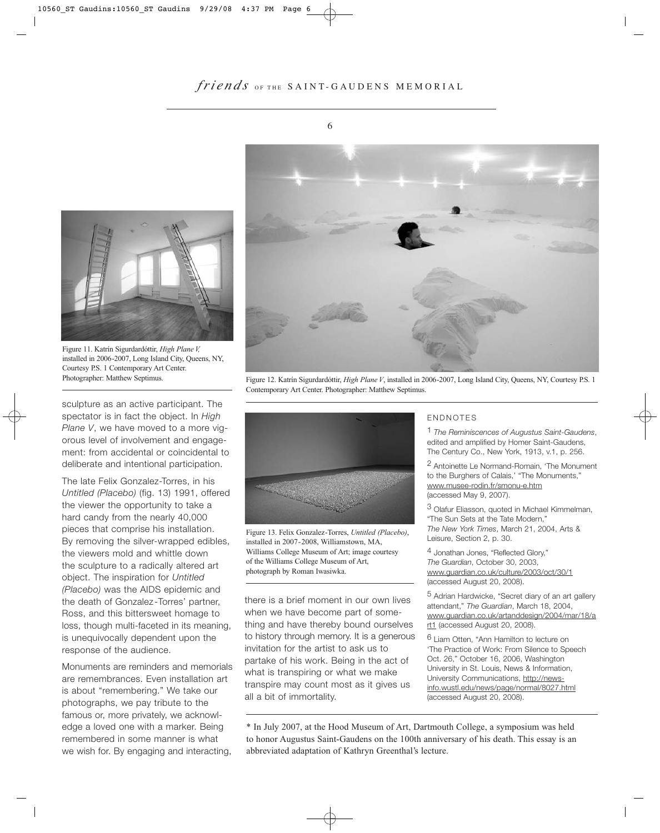



Figure 11. Katrín Sigurdardóttir, *High Plane V,* installed in 2006-2007, Long Island City, Queens, NY, Courtesy P.S. 1 Contemporary Art Center. Photographer: Matthew Septimus.

sculpture as an active participant. The spectator is in fact the object. In *High Plane V*, we have moved to a more vigorous level of involvement and engagement: from accidental or coincidental to deliberate and intentional participation.

The late Felix Gonzalez-Torres, in his *Untitled (Placebo)* (fig. 13) 1991, offered the viewer the opportunity to take a hard candy from the nearly 40,000 pieces that comprise his installation. By removing the silver-wrapped edibles, the viewers mold and whittle down the sculpture to a radically altered art object. The inspiration for *Untitled (Placebo)* was the AIDS epidemic and the death of Gonzalez-Torres' partner, Ross, and this bittersweet homage to loss, though multi-faceted in its meaning, is unequivocally dependent upon the response of the audience.

Monuments are reminders and memorials are remembrances. Even installation art is about "remembering." We take our photographs, we pay tribute to the famous or, more privately, we acknowledge a loved one with a marker. Being remembered in some manner is what we wish for. By engaging and interacting,



Figure 12. Katrín Sigurdardóttir, *High Plane V*, installed in 2006-2007, Long Island City, Queens, NY, Courtesy P.S. 1 Contemporary Art Center. Photographer: Matthew Septimus.



Figure 13. Felix Gonzalez-Torres, *Untitled (Placebo)*, installed in 2007-2008, Williamstown, MA, Williams College Museum of Art; image courtesy of the Williams College Museum of Art, photograph by Roman Iwasiwka.

there is a brief moment in our own lives when we have become part of something and have thereby bound ourselves to history through memory. It is a generous invitation for the artist to ask us to partake of his work. Being in the act of what is transpiring or what we make transpire may count most as it gives us all a bit of immortality.

#### ENDNOTES

1 *The Reminiscences of Augustus Saint-Gaudens*, edited and amplified by Homer Saint-Gaudens, The Century Co., New York, 1913, v.1, p. 256.

2 Antoinette Le Normand-Romain, 'The Monument to the Burghers of Calais,' "The Monuments," www.musee-rodin.fr/smonu-e.htm (accessed May 9, 2007).

3 Olafur Eliasson, quoted in Michael Kimmelman, "The Sun Sets at the Tate Modern," *The New York Times*, March 21, 2004, Arts & Leisure, Section 2, p. 30.

4 Jonathan Jones, "Reflected Glory," *The Guardian*, October 30, 2003, www.guardian.co.uk/culture/2003/oct/30/1 (accessed August 20, 2008).

5 Adrian Hardwicke, "Secret diary of an art gallery attendant," *The Guardian*, March 18, 2004, www.guardian.co.uk/artanddesign/2004/mar/18/a rt1 (accessed August 20, 2008).

6 Liam Otten, "Ann Hamilton to lecture on 'The Practice of Work: From Silence to Speech Oct. 26," October 16, 2006, Washington University in St. Louis, News & Information, University Communications, http://newsinfo.wustl.edu/news/page/normal/8027.html (accessed August 20, 2008).

\* In July 2007, at the Hood Museum of Art, Dartmouth College, a symposium was held to honor Augustus Saint-Gaudens on the 100th anniversary of his death. This essay is an abbreviated adaptation of Kathryn Greenthal's lecture.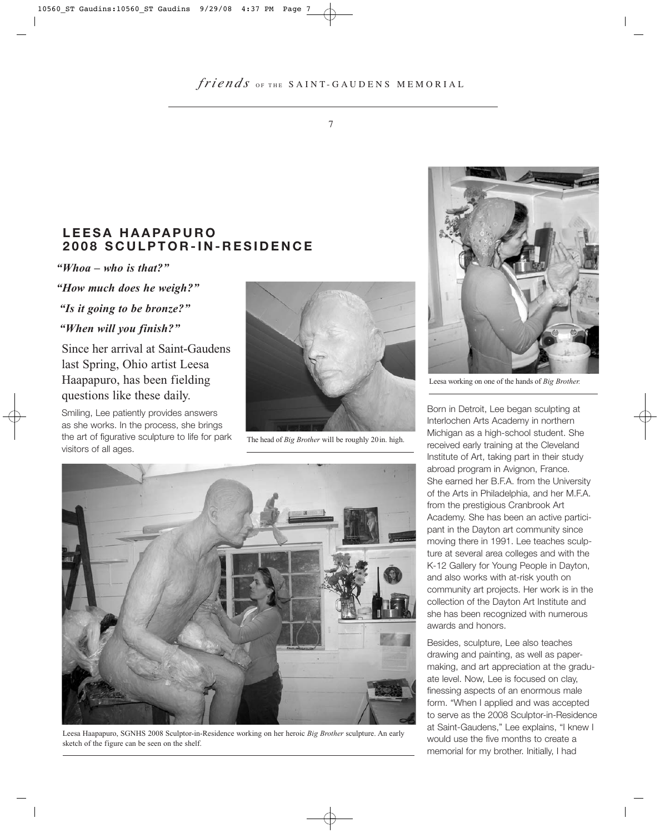# **LEESA HAAPAPURO 2008 SCULPTOR-IN-RESIDENCE**

*"Whoa – who is that?"* 

*"How much does he weigh?"* 

*"Is it going to be bronze?"*

#### *"When will you finish?"*

Since her arrival at Saint-Gaudens last Spring, Ohio artist Leesa Haapapuro, has been fielding questions like these daily.

Smiling, Lee patiently provides answers as she works. In the process, she brings the art of figurative sculpture to life for park visitors of all ages.



The head of *Big Brother* will be roughly 20in. high.



Leesa Haapapuro, SGNHS 2008 Sculptor-in-Residence working on her heroic *Big Brother* sculpture. An early sketch of the figure can be seen on the shelf.



Leesa working on one of the hands of *Big Brother.*

Born in Detroit, Lee began sculpting at Interlochen Arts Academy in northern Michigan as a high-school student. She received early training at the Cleveland Institute of Art, taking part in their study abroad program in Avignon, France. She earned her B.F.A. from the University of the Arts in Philadelphia, and her M.F.A. from the prestigious Cranbrook Art Academy. She has been an active participant in the Dayton art community since moving there in 1991. Lee teaches sculpture at several area colleges and with the K-12 Gallery for Young People in Dayton, and also works with at-risk youth on community art projects. Her work is in the collection of the Dayton Art Institute and she has been recognized with numerous awards and honors.

Besides, sculpture, Lee also teaches drawing and painting, as well as papermaking, and art appreciation at the graduate level. Now, Lee is focused on clay, finessing aspects of an enormous male form. "When I applied and was accepted to serve as the 2008 Sculptor-in-Residence at Saint-Gaudens," Lee explains, "I knew I would use the five months to create a memorial for my brother. Initially, I had